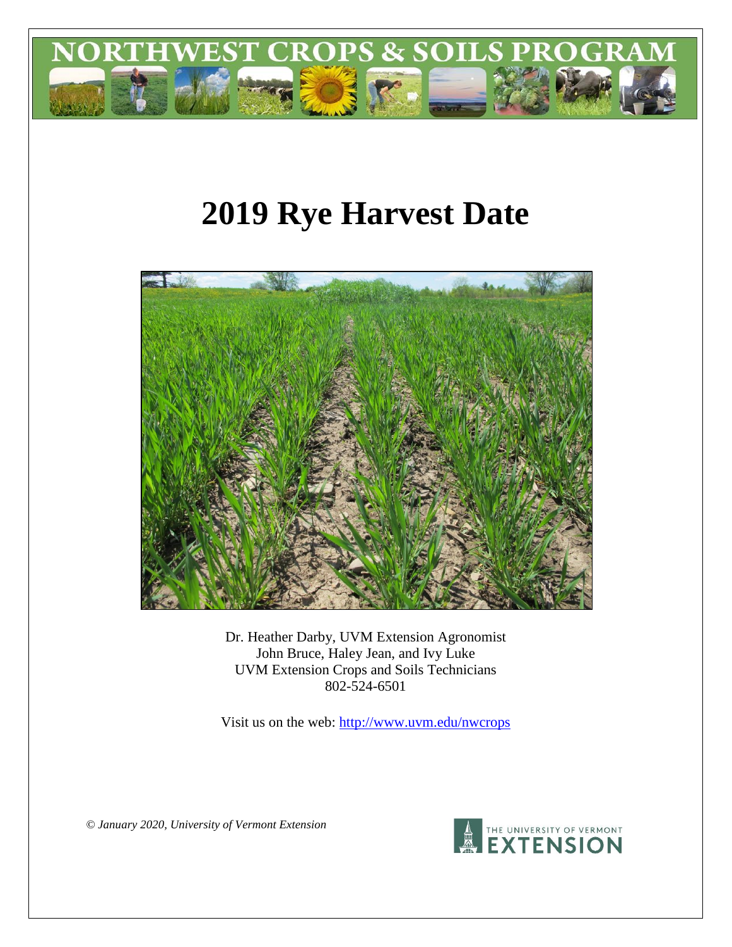

# **2019 Rye Harvest Date**



Dr. Heather Darby, UVM Extension Agronomist John Bruce, Haley Jean, and Ivy Luke UVM Extension Crops and Soils Technicians 802-524-6501

Visit us on the web: <http://www.uvm.edu/nwcrops>

*© January 2020, University of Vermont Extension*

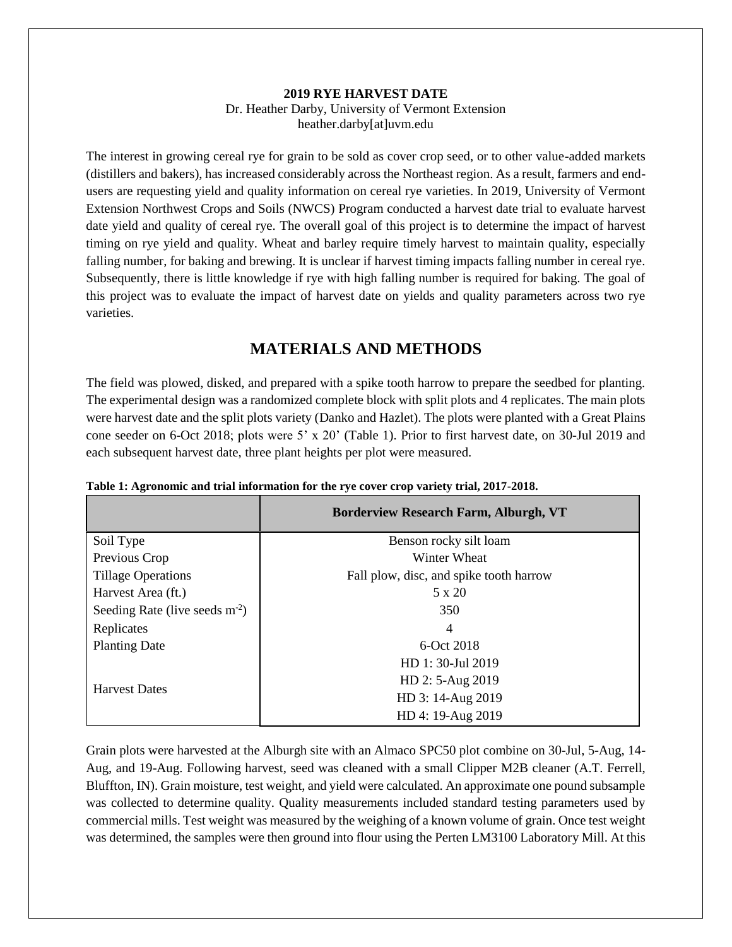#### **2019 RYE HARVEST DATE** Dr. Heather Darby, University of Vermont Extension heather.darby[at]uvm.edu

The interest in growing cereal rye for grain to be sold as cover crop seed, or to other value-added markets (distillers and bakers), has increased considerably across the Northeast region. As a result, farmers and endusers are requesting yield and quality information on cereal rye varieties. In 2019, University of Vermont Extension Northwest Crops and Soils (NWCS) Program conducted a harvest date trial to evaluate harvest date yield and quality of cereal rye. The overall goal of this project is to determine the impact of harvest timing on rye yield and quality. Wheat and barley require timely harvest to maintain quality, especially falling number, for baking and brewing. It is unclear if harvest timing impacts falling number in cereal rye. Subsequently, there is little knowledge if rye with high falling number is required for baking. The goal of this project was to evaluate the impact of harvest date on yields and quality parameters across two rye varieties.

## **MATERIALS AND METHODS**

The field was plowed, disked, and prepared with a spike tooth harrow to prepare the seedbed for planting. The experimental design was a randomized complete block with split plots and 4 replicates. The main plots were harvest date and the split plots variety (Danko and Hazlet). The plots were planted with a Great Plains cone seeder on 6-Oct 2018; plots were 5' x 20' (Table 1). Prior to first harvest date, on 30-Jul 2019 and each subsequent harvest date, three plant heights per plot were measured.

|                                 | <b>Borderview Research Farm, Alburgh, VT</b> |  |  |  |
|---------------------------------|----------------------------------------------|--|--|--|
| Soil Type                       | Benson rocky silt loam                       |  |  |  |
| Previous Crop                   | Winter Wheat                                 |  |  |  |
| <b>Tillage Operations</b>       | Fall plow, disc, and spike tooth harrow      |  |  |  |
| Harvest Area (ft.)              | $5 \times 20$                                |  |  |  |
| Seeding Rate (live seeds $m2$ ) | 350                                          |  |  |  |
| Replicates                      | 4                                            |  |  |  |
| <b>Planting Date</b>            | 6-Oct 2018                                   |  |  |  |
|                                 | HD 1:30-Jul 2019                             |  |  |  |
|                                 | HD 2: 5-Aug 2019                             |  |  |  |
| <b>Harvest Dates</b>            | HD 3: 14-Aug 2019                            |  |  |  |
|                                 | HD 4: 19-Aug 2019                            |  |  |  |

**Table 1: Agronomic and trial information for the rye cover crop variety trial, 2017-2018.**

Grain plots were harvested at the Alburgh site with an Almaco SPC50 plot combine on 30-Jul, 5-Aug, 14- Aug, and 19-Aug. Following harvest, seed was cleaned with a small Clipper M2B cleaner (A.T. Ferrell, Bluffton, IN). Grain moisture, test weight, and yield were calculated. An approximate one pound subsample was collected to determine quality. Quality measurements included standard testing parameters used by commercial mills. Test weight was measured by the weighing of a known volume of grain. Once test weight was determined, the samples were then ground into flour using the Perten LM3100 Laboratory Mill. At this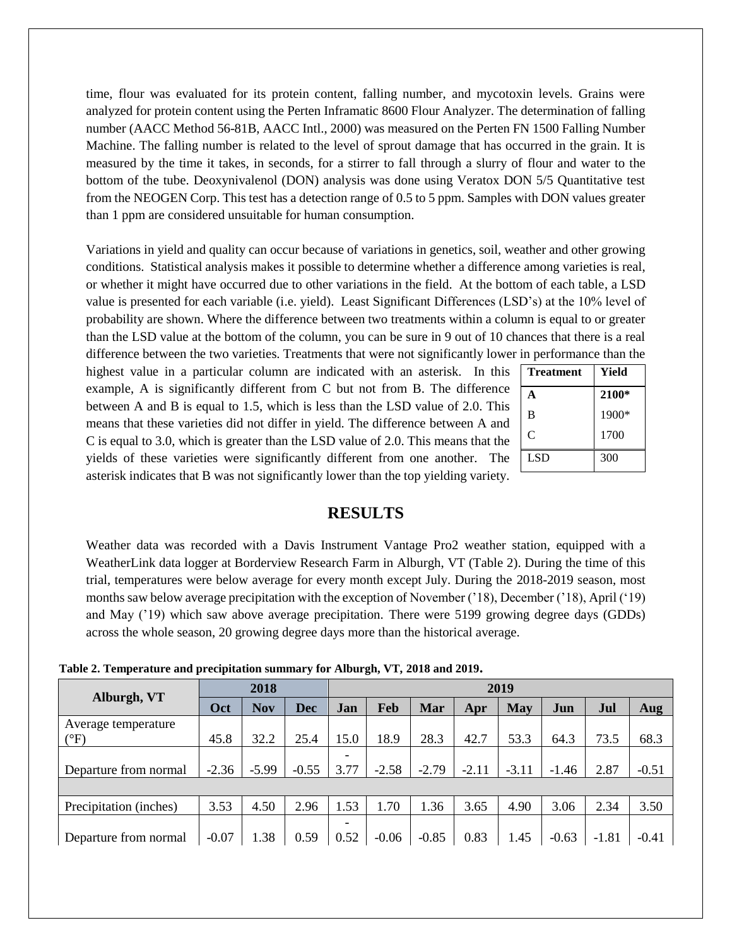time, flour was evaluated for its protein content, falling number, and mycotoxin levels. Grains were analyzed for protein content using the Perten Inframatic 8600 Flour Analyzer. The determination of falling number (AACC Method 56-81B, AACC Intl., 2000) was measured on the Perten FN 1500 Falling Number Machine. The falling number is related to the level of sprout damage that has occurred in the grain. It is measured by the time it takes, in seconds, for a stirrer to fall through a slurry of flour and water to the bottom of the tube. Deoxynivalenol (DON) analysis was done using Veratox DON 5/5 Quantitative test from the NEOGEN Corp. This test has a detection range of 0.5 to 5 ppm. Samples with DON values greater than 1 ppm are considered unsuitable for human consumption.

Variations in yield and quality can occur because of variations in genetics, soil, weather and other growing conditions. Statistical analysis makes it possible to determine whether a difference among varieties is real, or whether it might have occurred due to other variations in the field. At the bottom of each table, a LSD value is presented for each variable (i.e. yield). Least Significant Differences (LSD's) at the 10% level of probability are shown. Where the difference between two treatments within a column is equal to or greater than the LSD value at the bottom of the column, you can be sure in 9 out of 10 chances that there is a real difference between the two varieties. Treatments that were not significantly lower in performance than the

highest value in a particular column are indicated with an asterisk. In this example, A is significantly different from C but not from B. The difference between A and B is equal to 1.5, which is less than the LSD value of 2.0. This means that these varieties did not differ in yield. The difference between A and C is equal to 3.0, which is greater than the LSD value of 2.0. This means that the yields of these varieties were significantly different from one another. The asterisk indicates that B was not significantly lower than the top yielding variety.

| Treatment  | Yield   |
|------------|---------|
|            | 2100*   |
| B          | $1900*$ |
| C          | 1700    |
| <b>LSD</b> | 300     |
|            |         |

## **RESULTS**

Weather data was recorded with a Davis Instrument Vantage Pro2 weather station, equipped with a WeatherLink data logger at Borderview Research Farm in Alburgh, VT (Table 2). During the time of this trial, temperatures were below average for every month except July. During the 2018-2019 season, most months saw below average precipitation with the exception of November ('18), December ('18), April ('19) and May ('19) which saw above average precipitation. There were 5199 growing degree days (GDDs) across the whole season, 20 growing degree days more than the historical average.

|                                      |         | 2018       |         | 2019      |         |         |         |         |         |         |         |
|--------------------------------------|---------|------------|---------|-----------|---------|---------|---------|---------|---------|---------|---------|
| Alburgh, VT                          | Oct     | <b>Nov</b> | Dec     | Jan       | Feb     | Mar     | Apr     | May     | Jun     | Jul     | Aug     |
| Average temperature<br>$(^{\circ}F)$ | 45.8    | 32.2       | 25.4    | 15.0      | 18.9    | 28.3    | 42.7    | 53.3    | 64.3    | 73.5    | 68.3    |
| Departure from normal                | $-2.36$ | $-5.99$    | $-0.55$ | ٠<br>3.77 | $-2.58$ | $-2.79$ | $-2.11$ | $-3.11$ | $-1.46$ | 2.87    | $-0.51$ |
|                                      |         |            |         |           |         |         |         |         |         |         |         |
| Precipitation (inches)               | 3.53    | 4.50       | 2.96    | .53       | 1.70    | 1.36    | 3.65    | 4.90    | 3.06    | 2.34    | 3.50    |
| Departure from normal                | $-0.07$ | 1.38       | 0.59    | -<br>0.52 | $-0.06$ | $-0.85$ | 0.83    | 1.45    | $-0.63$ | $-1.81$ | $-0.41$ |

**Table 2. Temperature and precipitation summary for Alburgh, VT, 2018 and 2019.**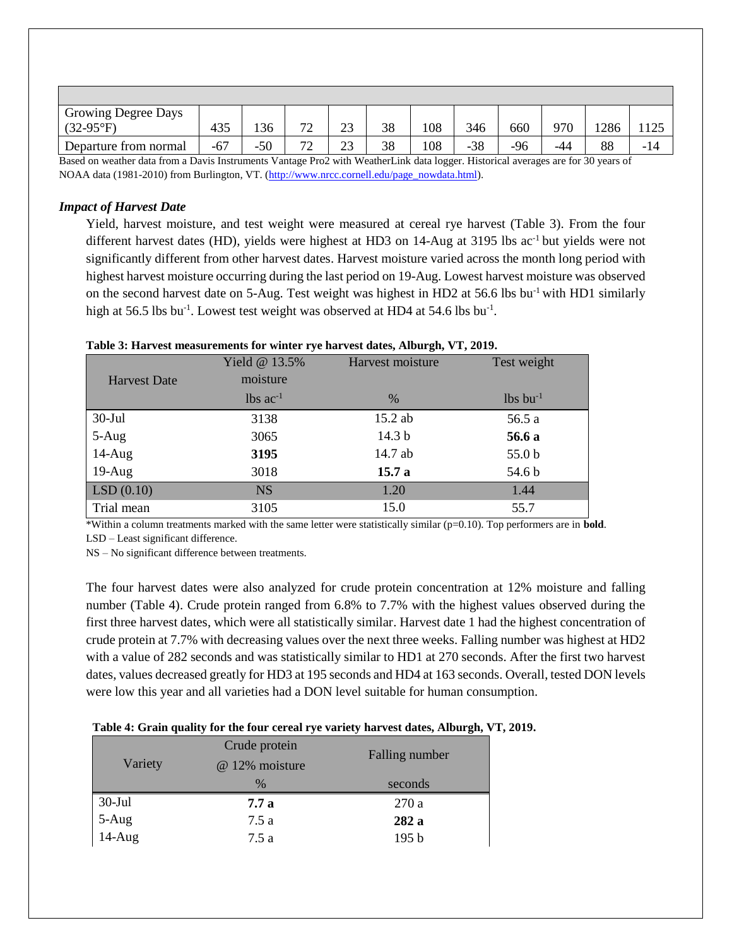| <b>Growing Degree Days</b>                                                                                                                                                                                                    |     |       |                     |               |    |     |       |     |     |      |     |
|-------------------------------------------------------------------------------------------------------------------------------------------------------------------------------------------------------------------------------|-----|-------|---------------------|---------------|----|-----|-------|-----|-----|------|-----|
| $(32-95^{\circ}F)$                                                                                                                                                                                                            | 435 | 136   | $\neg \land$<br>ت ا | $\sim$<br>ر ے | 38 | 108 | 346   | 660 | 970 | 1286 |     |
| Departure from normal                                                                                                                                                                                                         | -67 | $-50$ | $\neg \land$<br>∼   | $\sim$<br>∼   | 38 | 108 | $-38$ | -96 | -44 | 88   | - 1 |
| $\sim$<br>$\mathbf{v}$ , and $\mathbf{v}$<br>$\mathbf{r}$ and $\mathbf{r}$<br>$\mathbf{r}$ $\mathbf{r}$ $\mathbf{r}$ $\mathbf{r}$ $\mathbf{r}$ $\mathbf{r}$ $\mathbf{r}$<br>$\sim$<br>$\sim$<br>$\sqrt{ }$<br>$\cdot$ $\cdot$ |     |       |                     |               |    |     |       |     |     |      |     |

Based on weather data from a Davis Instruments Vantage Pro2 with WeatherLink data logger. Historical averages are for 30 years of NOAA data (1981-2010) from Burlington, VT. [\(http://www.nrcc.cornell.edu/page\\_nowdata.html\)](http://www.nrcc.cornell.edu/page_nowdata.html).

#### *Impact of Harvest Date*

Yield, harvest moisture, and test weight were measured at cereal rye harvest (Table 3). From the four different harvest dates (HD), yields were highest at HD3 on  $14$ -Aug at 3195 lbs ac<sup>-1</sup> but yields were not significantly different from other harvest dates. Harvest moisture varied across the month long period with highest harvest moisture occurring during the last period on 19-Aug. Lowest harvest moisture was observed on the second harvest date on 5-Aug. Test weight was highest in HD2 at 56.6 lbs  $bu^{-1}$  with HD1 similarly high at 56.5 lbs bu<sup>-1</sup>. Lowest test weight was observed at HD4 at 54.6 lbs bu<sup>-1</sup>.

|                     | Yield @ 13.5%          | Harvest moisture  | Test weight            |
|---------------------|------------------------|-------------------|------------------------|
| <b>Harvest Date</b> | moisture               |                   |                        |
|                     | $lbs$ ac <sup>-1</sup> | $\frac{0}{0}$     | $lbs$ bu <sup>-1</sup> |
| $30-Jul$            | 3138                   | 15.2 ab           | 56.5 a                 |
| 5-Aug               | 3065                   | 14.3 <sub>b</sub> | 56.6 a                 |
| $14-Aug$            | 3195                   | 14.7 ab           | 55.0 <sub>b</sub>      |
| $19-Aug$            | 3018                   | 15.7a             | 54.6 b                 |
| LSD(0.10)           | <b>NS</b>              | 1.20              | 1.44                   |
| Trial mean          | 3105                   | 15.0              | 55.7                   |

#### **Table 3: Harvest measurements for winter rye harvest dates, Alburgh, VT, 2019.**

\*Within a column treatments marked with the same letter were statistically similar (p=0.10). Top performers are in **bold**. LSD – Least significant difference.

NS – No significant difference between treatments.

The four harvest dates were also analyzed for crude protein concentration at 12% moisture and falling number (Table 4). Crude protein ranged from 6.8% to 7.7% with the highest values observed during the first three harvest dates, which were all statistically similar. Harvest date 1 had the highest concentration of crude protein at 7.7% with decreasing values over the next three weeks. Falling number was highest at HD2 with a value of 282 seconds and was statistically similar to HD1 at 270 seconds. After the first two harvest dates, values decreased greatly for HD3 at 195 seconds and HD4 at 163 seconds. Overall, tested DON levels were low this year and all varieties had a DON level suitable for human consumption.

#### **Table 4: Grain quality for the four cereal rye variety harvest dates, Alburgh, VT, 2019.**

| Variety                   | Crude protein  | Falling number   |
|---------------------------|----------------|------------------|
|                           | @ 12% moisture |                  |
|                           | $\%$           | seconds          |
| 30-Jul<br>5-Aug<br>14-Aug | 7.7 a          | 270a             |
|                           | 7.5a           | 282 a            |
|                           | 7.5 a          | 195 <sub>b</sub> |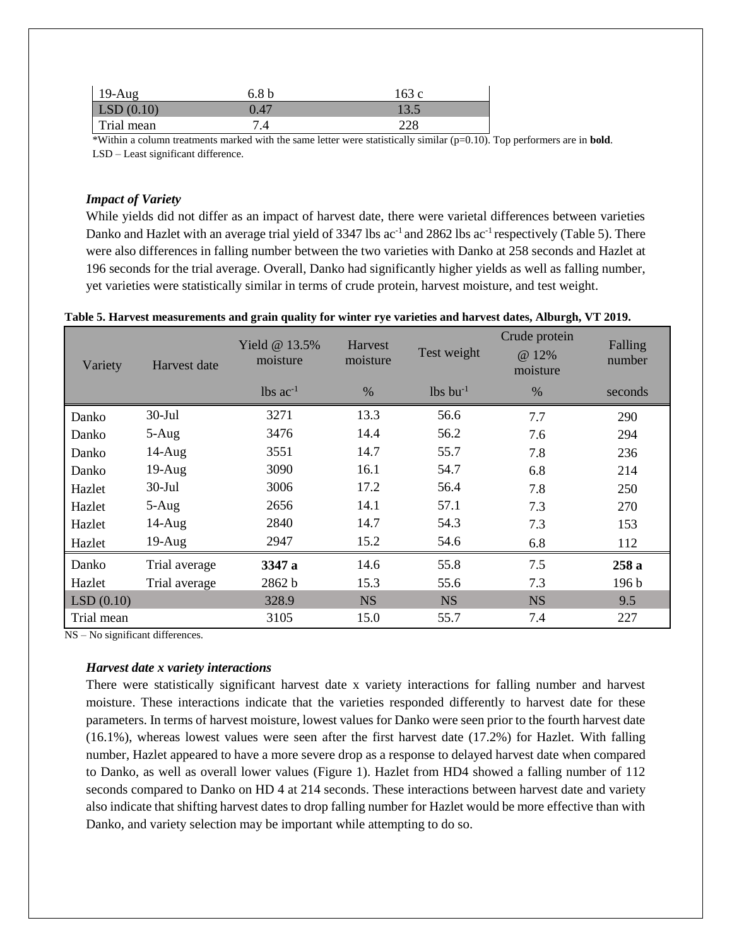| $19-Aug$             | 6.8 <sub>b</sub> | 163 с |
|----------------------|------------------|-------|
| $\vert$ LSD $(0.10)$ | 0.47             | 13.5  |
| Trial mean           | 7.4              | 228   |

\*Within a column treatments marked with the same letter were statistically similar (p=0.10). Top performers are in **bold**. LSD – Least significant difference.

#### *Impact of Variety*

While yields did not differ as an impact of harvest date, there were varietal differences between varieties Danko and Hazlet with an average trial yield of 3347 lbs ac<sup>-1</sup> and 2862 lbs ac<sup>-1</sup> respectively (Table 5). There were also differences in falling number between the two varieties with Danko at 258 seconds and Hazlet at 196 seconds for the trial average. Overall, Danko had significantly higher yields as well as falling number, yet varieties were statistically similar in terms of crude protein, harvest moisture, and test weight.

#### **Table 5. Harvest measurements and grain quality for winter rye varieties and harvest dates, Alburgh, VT 2019.**

| Variety    | Harvest date  | Yield $@13.5\%$<br>moisture | <b>Harvest</b><br>moisture | Test weight            | Crude protein<br>@ 12%<br>moisture | Falling<br>number |
|------------|---------------|-----------------------------|----------------------------|------------------------|------------------------------------|-------------------|
|            |               | $lbs$ ac <sup>-1</sup>      | $\%$                       | $lbs$ bu <sup>-1</sup> | $\%$                               | seconds           |
| Danko      | $30-Jul$      | 3271                        | 13.3                       | 56.6                   | 7.7                                | 290               |
| Danko      | $5-Aug$       | 3476                        | 14.4                       | 56.2                   | 7.6                                | 294               |
| Danko      | $14$ -Aug     | 3551                        | 14.7                       | 55.7                   | 7.8                                | 236               |
| Danko      | $19-Aug$      | 3090                        | 16.1                       | 54.7                   | 6.8                                | 214               |
| Hazlet     | $30-Jul$      | 3006                        | 17.2                       | 56.4                   | 7.8                                | 250               |
| Hazlet     | $5-Aug$       | 2656                        | 14.1                       | 57.1                   | 7.3                                | 270               |
| Hazlet     | $14$ -Aug     | 2840                        | 14.7                       | 54.3                   | 7.3                                | 153               |
| Hazlet     | $19-Aug$      | 2947                        | 15.2                       | 54.6                   | 6.8                                | 112               |
| Danko      | Trial average | 3347 a                      | 14.6                       | 55.8                   | 7.5                                | 258a              |
| Hazlet     | Trial average | 2862 b                      | 15.3                       | 55.6                   | 7.3                                | 196 <sub>b</sub>  |
| LSD(0.10)  |               | 328.9                       | <b>NS</b>                  | <b>NS</b>              | <b>NS</b>                          | 9.5               |
| Trial mean |               | 3105                        | 15.0                       | 55.7                   | 7.4                                | 227               |

NS – No significant differences.

#### *Harvest date x variety interactions*

There were statistically significant harvest date x variety interactions for falling number and harvest moisture. These interactions indicate that the varieties responded differently to harvest date for these parameters. In terms of harvest moisture, lowest values for Danko were seen prior to the fourth harvest date (16.1%), whereas lowest values were seen after the first harvest date (17.2%) for Hazlet. With falling number, Hazlet appeared to have a more severe drop as a response to delayed harvest date when compared to Danko, as well as overall lower values (Figure 1). Hazlet from HD4 showed a falling number of 112 seconds compared to Danko on HD 4 at 214 seconds. These interactions between harvest date and variety also indicate that shifting harvest dates to drop falling number for Hazlet would be more effective than with Danko, and variety selection may be important while attempting to do so.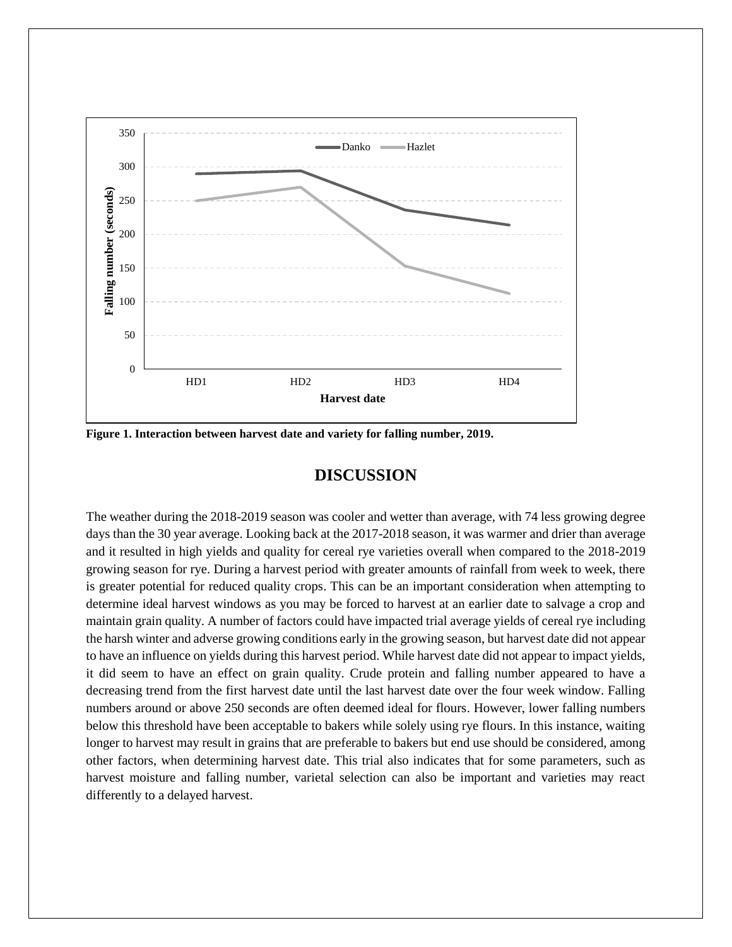

**Figure 1. Interaction between harvest date and variety for falling number, 2019.**

## **DISCUSSION**

The weather during the 2018-2019 season was cooler and wetter than average, with 74 less growing degree days than the 30 year average. Looking back at the 2017-2018 season, it was warmer and drier than average and it resulted in high yields and quality for cereal rye varieties overall when compared to the 2018-2019 growing season for rye. During a harvest period with greater amounts of rainfall from week to week, there is greater potential for reduced quality crops. This can be an important consideration when attempting to determine ideal harvest windows as you may be forced to harvest at an earlier date to salvage a crop and maintain grain quality. A number of factors could have impacted trial average yields of cereal rye including the harsh winter and adverse growing conditions early in the growing season, but harvest date did not appear to have an influence on yields during this harvest period. While harvest date did not appear to impact yields, it did seem to have an effect on grain quality. Crude protein and falling number appeared to have a decreasing trend from the first harvest date until the last harvest date over the four week window. Falling numbers around or above 250 seconds are often deemed ideal for flours. However, lower falling numbers below this threshold have been acceptable to bakers while solely using rye flours. In this instance, waiting longer to harvest may result in grains that are preferable to bakers but end use should be considered, among other factors, when determining harvest date. This trial also indicates that for some parameters, such as harvest moisture and falling number, varietal selection can also be important and varieties may react differently to a delayed harvest.